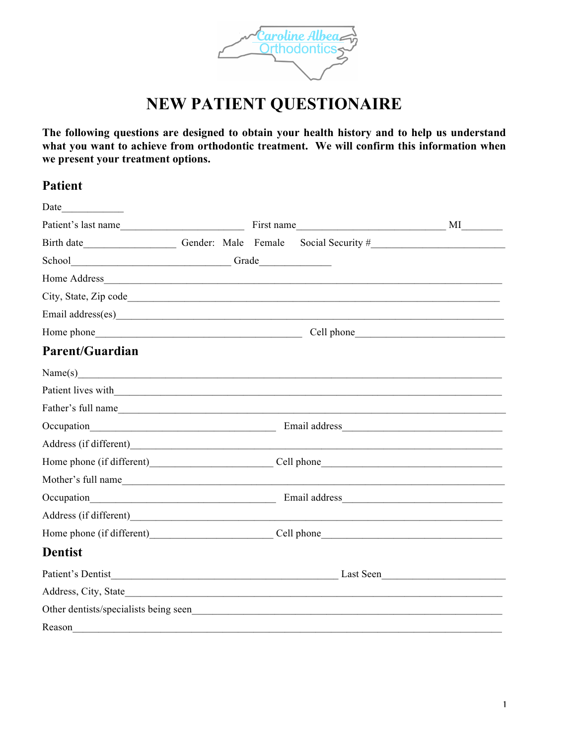

# **NEW PATIENT QUESTIONAIRE**

**The following questions are designed to obtain your health history and to help us understand what you want to achieve from orthodontic treatment. We will confirm this information when we present your treatment options.**

## **Patient**

| Date                                                                                                                                                                                                                           |            |  |           |  |
|--------------------------------------------------------------------------------------------------------------------------------------------------------------------------------------------------------------------------------|------------|--|-----------|--|
| Patient's last name                                                                                                                                                                                                            | First name |  | МI        |  |
| Birth date _______________________________Gender: Male Female Social Security #_______________________________                                                                                                                 |            |  |           |  |
|                                                                                                                                                                                                                                |            |  |           |  |
|                                                                                                                                                                                                                                |            |  |           |  |
|                                                                                                                                                                                                                                |            |  |           |  |
|                                                                                                                                                                                                                                |            |  |           |  |
|                                                                                                                                                                                                                                | Cell phone |  |           |  |
| <b>Parent/Guardian</b>                                                                                                                                                                                                         |            |  |           |  |
| Name(s)                                                                                                                                                                                                                        |            |  |           |  |
| Patient lives with 1.1 and 1.1 and 1.1 and 1.1 and 1.1 and 1.1 and 1.1 and 1.1 and 1.1 and 1.1 and 1.1 and 1.1 and 1.1 and 1.1 and 1.1 and 1.1 and 1.1 and 1.1 and 1.1 and 1.1 and 1.1 and 1.1 and 1.1 and 1.1 and 1.1 and 1.1 |            |  |           |  |
| Father's full name                                                                                                                                                                                                             |            |  |           |  |
|                                                                                                                                                                                                                                |            |  |           |  |
|                                                                                                                                                                                                                                |            |  |           |  |
|                                                                                                                                                                                                                                |            |  |           |  |
|                                                                                                                                                                                                                                |            |  |           |  |
|                                                                                                                                                                                                                                |            |  |           |  |
|                                                                                                                                                                                                                                |            |  |           |  |
| Home phone (if different) Cell phone                                                                                                                                                                                           |            |  |           |  |
| <b>Dentist</b>                                                                                                                                                                                                                 |            |  |           |  |
|                                                                                                                                                                                                                                |            |  | Last Seen |  |
| Address, City, State                                                                                                                                                                                                           |            |  |           |  |
|                                                                                                                                                                                                                                |            |  |           |  |
| Reason                                                                                                                                                                                                                         |            |  |           |  |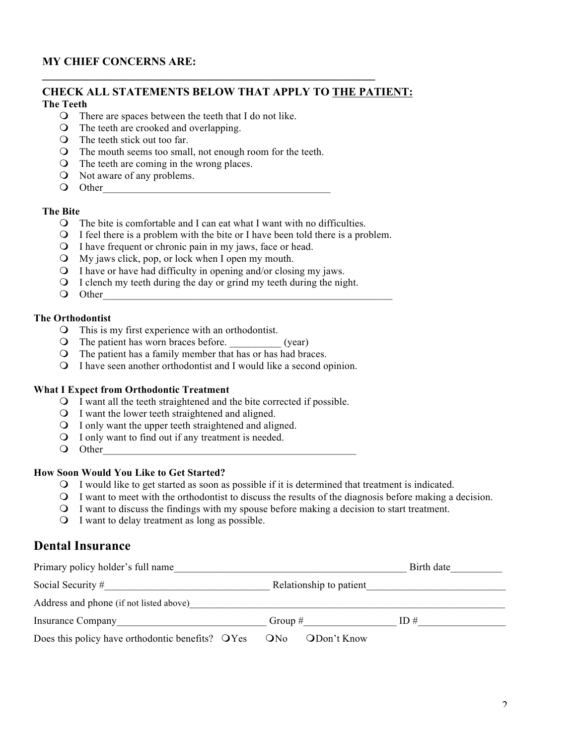### **MY CHIEF CONCERNS ARE:**

# **CHECK ALL STATEMENTS BELOW THAT APPLY TO THE PATIENT:**

**\_\_\_\_\_\_\_\_\_\_\_\_\_\_\_\_\_\_\_\_\_\_\_\_\_\_\_\_\_\_\_\_\_\_\_\_\_\_\_\_\_\_\_\_\_\_\_\_\_\_\_\_\_\_\_\_\_\_\_**

## **The Teeth**

- $\Omega$  There are spaces between the teeth that I do not like.
- $\Omega$  The teeth are crooked and overlapping.
- $\overline{O}$  The teeth stick out too far.
- O The mouth seems too small, not enough room for the teeth.
- $\Omega$  The teeth are coming in the wrong places.
- **O** Not aware of any problems.
- O Other

#### **The Bite**

- $\Omega$  The bite is comfortable and I can eat what I want with no difficulties.
- **O** I feel there is a problem with the bite or I have been told there is a problem.
- **O** I have frequent or chronic pain in my jaws, face or head.
- $\Omega$  My jaws click, pop, or lock when I open my mouth.
- $\Omega$  I have or have had difficulty in opening and/or closing my jaws.
- $\Omega$  I clench my teeth during the day or grind my teeth during the night.
- O Other

#### **The Orthodontist**

- $\Omega$  This is my first experience with an orthodontist.
- $\bigcirc$  The patient has worn braces before. (year)
- **O** The patient has a family member that has or has had braces.
- **Q** I have seen another orthodontist and I would like a second opinion.

#### **What I Expect from Orthodontic Treatment**

- m I want all the teeth straightened and the bite corrected if possible.
- **O** I want the lower teeth straightened and aligned.
- $\Omega$  I only want the upper teeth straightened and aligned.
- **Q** I only want to find out if any treatment is needed.
- O Other

#### **How Soon Would You Like to Get Started?**

- m I would like to get started as soon as possible if it is determined that treatment is indicated.
- m I want to meet with the orthodontist to discuss the results of the diagnosis before making a decision.
- m I want to discuss the findings with my spouse before making a decision to start treatment.
- $\Omega$  I want to delay treatment as long as possible.

## **Dental Insurance**

| Primary policy holder's full name                | Birth date              |     |  |  |  |  |
|--------------------------------------------------|-------------------------|-----|--|--|--|--|
| Social Security #                                | Relationship to patient |     |  |  |  |  |
| Address and phone (if not listed above)          |                         |     |  |  |  |  |
| Insurance Company                                | Group $#$               | ID# |  |  |  |  |
| Does this policy have orthodontic benefits? OYes | ODon't Know<br>ONo      |     |  |  |  |  |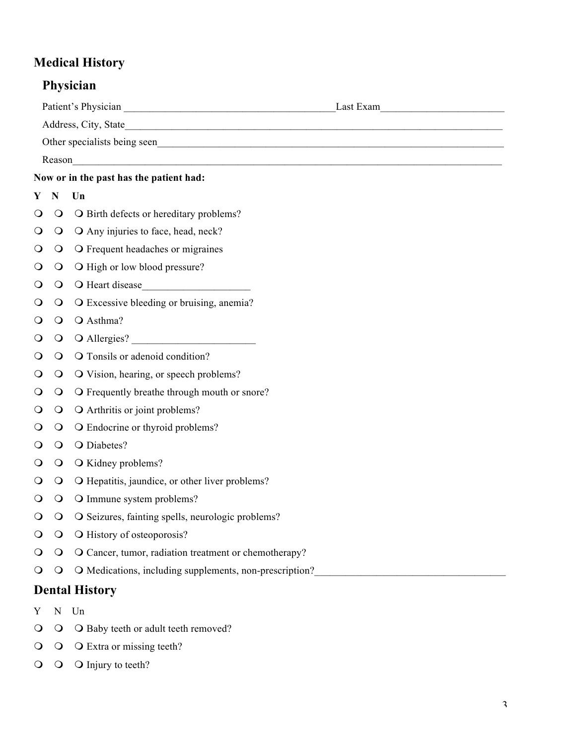## **Medical History**

## **Physician**

|                                         | Reason      | <u> 1989 - Johann Barnett, fransk politik (f. 1989)</u> |  |  |  |
|-----------------------------------------|-------------|---------------------------------------------------------|--|--|--|
| Now or in the past has the patient had: |             |                                                         |  |  |  |
| Y                                       | ${\bf N}$   | Un                                                      |  |  |  |
| $\circ$                                 | $\bigcirc$  | O Birth defects or hereditary problems?                 |  |  |  |
| $\circ$                                 | $\bigcirc$  | O Any injuries to face, head, neck?                     |  |  |  |
| $\circ$                                 | $\bigcirc$  | O Frequent headaches or migraines                       |  |  |  |
| $\circ$                                 | $\bigcirc$  | O High or low blood pressure?                           |  |  |  |
| $\circ$                                 | $\bigcirc$  |                                                         |  |  |  |
| $\circ$                                 | $\bigcirc$  | O Excessive bleeding or bruising, anemia?               |  |  |  |
| $\circ$                                 | $\bigcirc$  | O Asthma?                                               |  |  |  |
| $\circ$                                 | $\bigcirc$  | O Allergies?                                            |  |  |  |
| O                                       | $\bigcirc$  | O Tonsils or adenoid condition?                         |  |  |  |
| $\circ$                                 | $\bigcirc$  | O Vision, hearing, or speech problems?                  |  |  |  |
| $\circ$                                 | $\bigcirc$  | O Frequently breathe through mouth or snore?            |  |  |  |
| $\circ$                                 | $\bigcirc$  | O Arthritis or joint problems?                          |  |  |  |
| $\circ$                                 | $\bigcirc$  | O Endocrine or thyroid problems?                        |  |  |  |
| $\circ$                                 | $\bigcirc$  | O Diabetes?                                             |  |  |  |
| $\circ$                                 | $\bigcirc$  | O Kidney problems?                                      |  |  |  |
| Ő                                       | $\bigcirc$  | O Hepatitis, jaundice, or other liver problems?         |  |  |  |
| $\circ$                                 | $\circ$     | O Immune system problems?                               |  |  |  |
| $\Omega$                                | $\circ$     | O Seizures, fainting spells, neurologic problems?       |  |  |  |
| $\circ$                                 | $\circ$     | O History of osteoporosis?                              |  |  |  |
| $\circ$                                 | $\bigcirc$  | O Cancer, tumor, radiation treatment or chemotherapy?   |  |  |  |
| $\circ$                                 | $\bigcirc$  | O Medications, including supplements, non-prescription? |  |  |  |
|                                         |             | <b>Dental History</b>                                   |  |  |  |
| Y                                       | $\mathbf N$ | Un                                                      |  |  |  |
| $\circ$                                 | $\bigcirc$  | O Baby teeth or adult teeth removed?                    |  |  |  |

- $\overline{O}$   $\overline{O}$  Extra or missing teeth?
- $\overline{O}$   $\overline{O}$  Injury to teeth?